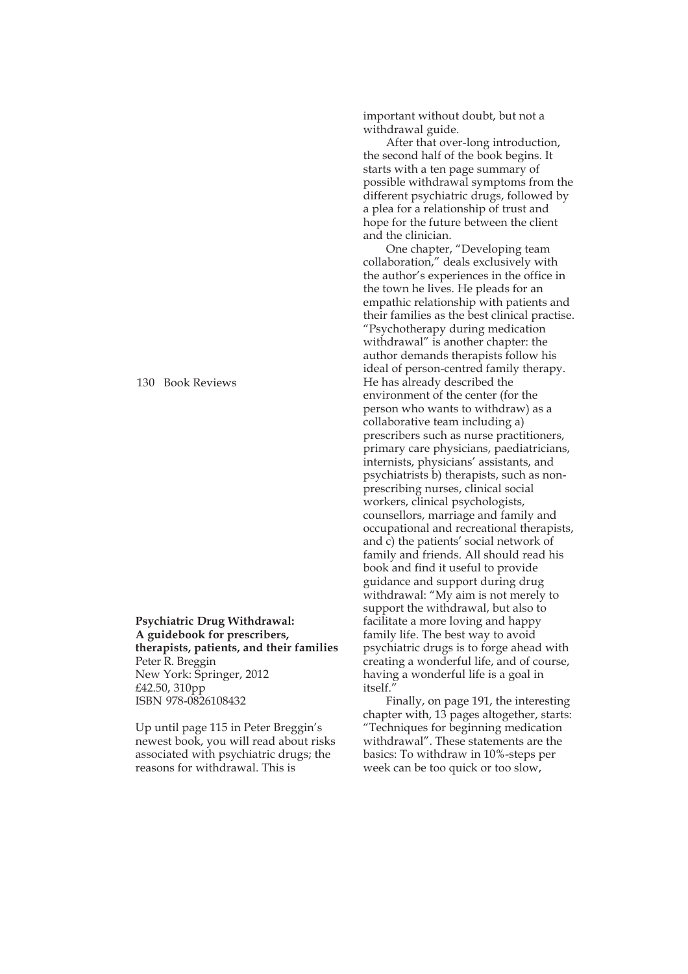130 Book Reviews

**Psychiatric Drug Withdrawal: A guidebook for prescribers, therapists, patients, and their families** Peter R. Breggin New York: Springer, 2012 £42.50, 310pp ISBN 978-0826108432

Up until page 115 in Peter Breggin's newest book, you will read about risks associated with psychiatric drugs; the reasons for withdrawal. This is

important without doubt, but not a withdrawal guide.

After that over-long introduction, the second half of the book begins. It starts with a ten page summary of possible withdrawal symptoms from the different psychiatric drugs, followed by a plea for a relationship of trust and hope for the future between the client and the clinician.

One chapter, "Developing team collaboration," deals exclusively with the author"s experiences in the office in the town he lives. He pleads for an empathic relationship with patients and their families as the best clinical practise. "Psychotherapy during medication withdrawal" is another chapter: the author demands therapists follow his ideal of person-centred family therapy. He has already described the environment of the center (for the person who wants to withdraw) as a collaborative team including a) prescribers such as nurse practitioners, primary care physicians, paediatricians, internists, physicians' assistants, and psychiatrists b) therapists, such as nonprescribing nurses, clinical social workers, clinical psychologists, counsellors, marriage and family and occupational and recreational therapists, and c) the patients' social network of family and friends. All should read his book and find it useful to provide guidance and support during drug withdrawal: " $My$  aim is not merely to support the withdrawal, but also to facilitate a more loving and happy family life. The best way to avoid psychiatric drugs is to forge ahead with creating a wonderful life, and of course, having a wonderful life is a goal in itself.'

Finally, on page 191, the interesting chapter with, 13 pages altogether, starts: "Techniques for beginning medication withdrawal". These statements are the basics: To withdraw in 10%-steps per week can be too quick or too slow,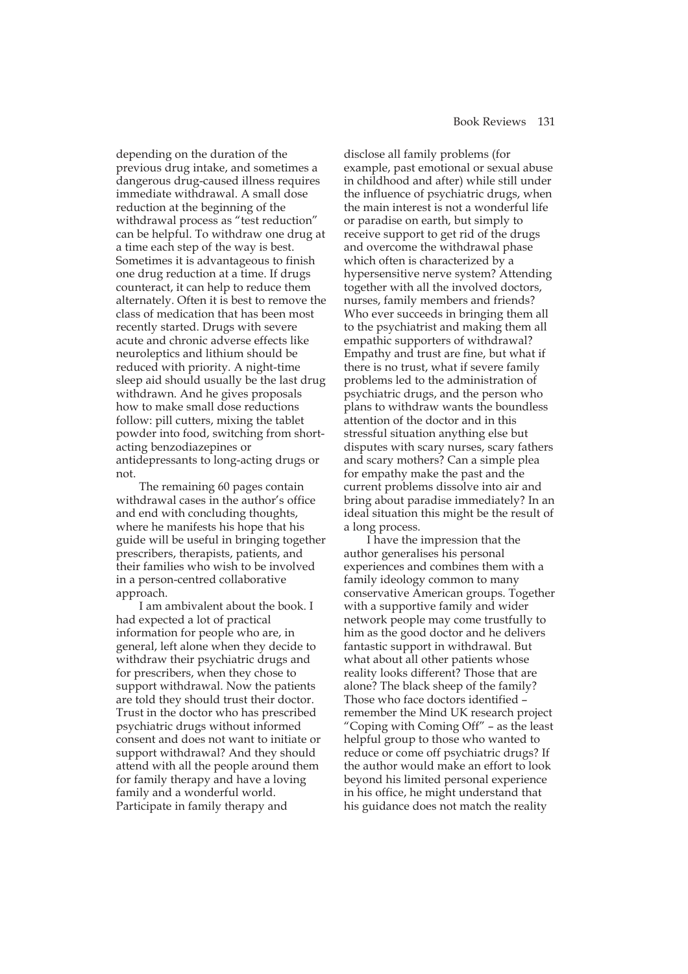depending on the duration of the previous drug intake, and sometimes a dangerous drug-caused illness requires immediate withdrawal. A small dose reduction at the beginning of the withdrawal process as "test reduction" can be helpful. To withdraw one drug at a time each step of the way is best. Sometimes it is advantageous to finish one drug reduction at a time. If drugs counteract, it can help to reduce them alternately. Often it is best to remove the class of medication that has been most recently started. Drugs with severe acute and chronic adverse effects like neuroleptics and lithium should be reduced with priority. A night-time sleep aid should usually be the last drug withdrawn. And he gives proposals how to make small dose reductions follow: pill cutters, mixing the tablet powder into food, switching from shortacting benzodiazepines or antidepressants to long-acting drugs or not.

The remaining 60 pages contain withdrawal cases in the author's office and end with concluding thoughts, where he manifests his hope that his guide will be useful in bringing together prescribers, therapists, patients, and their families who wish to be involved in a person-centred collaborative approach.

I am ambivalent about the book. I had expected a lot of practical information for people who are, in general, left alone when they decide to withdraw their psychiatric drugs and for prescribers, when they chose to support withdrawal. Now the patients are told they should trust their doctor. Trust in the doctor who has prescribed psychiatric drugs without informed consent and does not want to initiate or support withdrawal? And they should attend with all the people around them for family therapy and have a loving family and a wonderful world. Participate in family therapy and

disclose all family problems (for example, past emotional or sexual abuse in childhood and after) while still under the influence of psychiatric drugs, when the main interest is not a wonderful life or paradise on earth, but simply to receive support to get rid of the drugs and overcome the withdrawal phase which often is characterized by a hypersensitive nerve system? Attending together with all the involved doctors, nurses, family members and friends? Who ever succeeds in bringing them all to the psychiatrist and making them all empathic supporters of withdrawal? Empathy and trust are fine, but what if there is no trust, what if severe family problems led to the administration of psychiatric drugs, and the person who plans to withdraw wants the boundless attention of the doctor and in this stressful situation anything else but disputes with scary nurses, scary fathers and scary mothers? Can a simple plea for empathy make the past and the current problems dissolve into air and bring about paradise immediately? In an ideal situation this might be the result of a long process.

I have the impression that the author generalises his personal experiences and combines them with a family ideology common to many conservative American groups. Together with a supportive family and wider network people may come trustfully to him as the good doctor and he delivers fantastic support in withdrawal. But what about all other patients whose reality looks different? Those that are alone? The black sheep of the family? Those who face doctors identified remember the Mind UK research project "Coping with Coming Off" - as the least helpful group to those who wanted to reduce or come off psychiatric drugs? If the author would make an effort to look beyond his limited personal experience in his office, he might understand that his guidance does not match the reality